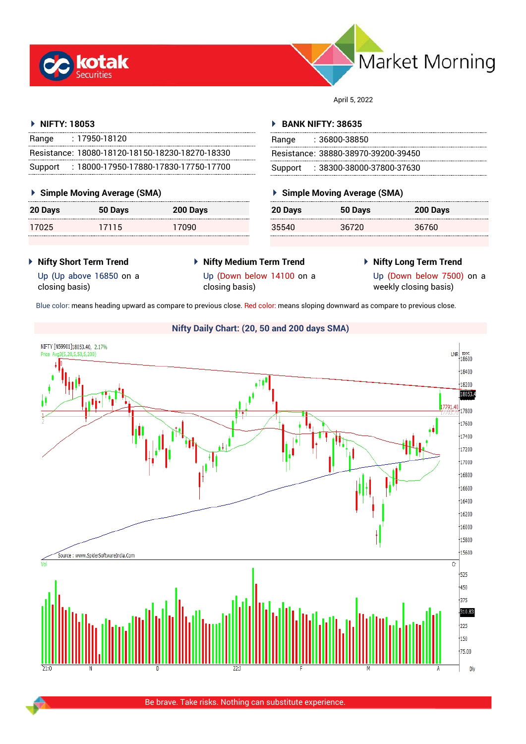



April 5, 2022

#### **NIFTY: 18053**

| Range   | $: 17950 - 18120$                               |
|---------|-------------------------------------------------|
|         | Resistance: 18080-18120-18150-18230-18270-18330 |
| Support | : 18000-17950-17880-17830-17750-17700           |

#### **Simple Moving Average (SMA)**

| 20 Days | 50 Days | 200 Days |
|---------|---------|----------|
| 17025   | 17115   | 17090    |

#### **BANK NIFTY: 38635**

| Range | : 36800-38850                       |
|-------|-------------------------------------|
|       | Resistance: 38880-38970-39200-39450 |
|       | Support : 38300-38000-37800-37630   |

#### **Simple Moving Average (SMA)**

| 20 Days | 50 Days | 200 Days |
|---------|---------|----------|
| 35540   | 36720   | 36760    |

- **Nifty Short Term Trend**
- **Nifty Medium Term Trend** closing basis)
- **Nifty Long Term Trend**

Up (Up above 16850 on a closing basis)

Up (Down below 14100 on a

Up (Down below 7500) on a

weekly closing basis)

Blue color: means heading upward as compare to previous close. Red color: means sloping downward as compare to previous close.

## **Nifty Daily Chart: (20, 50 and 200 days SMA)**

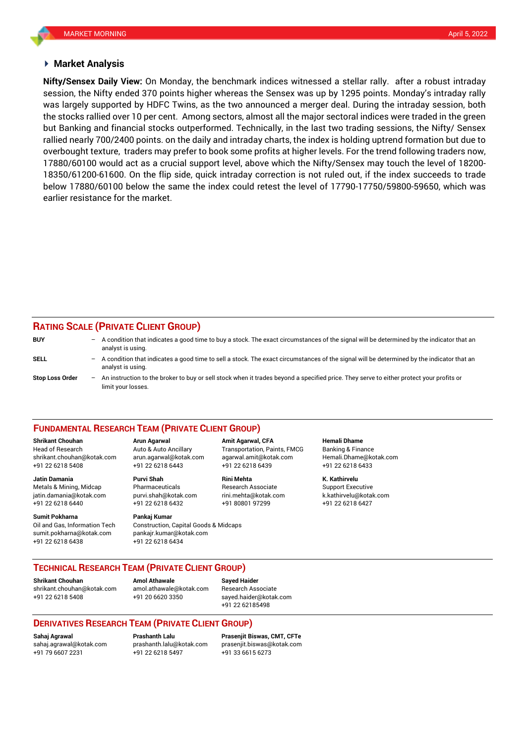#### **Market Analysis**

session, the Nifty ended 370 points higher whereas the Sensex was up by 1295 points. Monday's intraday rally **Nifty/Sensex Daily View:** On Monday, the benchmark indices witnessed a stellar rally. after a robust intraday was largely supported by HDFC Twins, as the two announced a merger deal. During the intraday session, both the stocks rallied over 10 per cent. Among sectors, almost all the major sectoral indices were traded in the green but Banking and financial stocks outperformed. Technically, in the last two trading sessions, the Nifty/ Sensex rallied nearly 700/2400 points. on the daily and intraday charts, the index is holding uptrend formation but due to overbought texture, traders may prefer to book some profits at higher levels. For the trend following traders now, 17880/60100 would act as a crucial support level, above which the Nifty/Sensex may touch the level of 18200- 18350/61200-61600. On the flip side, quick intraday correction is not ruled out, if the index succeeds to trade below 17880/60100 below the same the index could retest the level of 17790-17750/59800-59650, which was earlier resistance for the market.

### **RATING SCALE (PRIVATE CLIENT GROUP)**

| <b>BUY</b>             | - A condition that indicates a good time to buy a stock. The exact circumstances of the signal will be determined by the indicator that an<br>analyst is using.    |
|------------------------|--------------------------------------------------------------------------------------------------------------------------------------------------------------------|
| SELL                   | $-$ A condition that indicates a good time to sell a stock. The exact circumstances of the signal will be determined by the indicator that an<br>analyst is using. |
| <b>Stop Loss Order</b> | - An instruction to the broker to buy or sell stock when it trades beyond a specified price. They serve to either protect your profits or<br>limit your losses.    |

#### **FUNDAMENTAL RESEARCH TEAM (PRIVATE CLIENT GROUP)**

Head of Research Auto & Auto Ancillary Transportation, Paints, FMCG Banking & Finance [shrikant.chouhan@kotak.com](mailto:shrikant.chouhan@kotak.com) arun.agarwal@kotak.com agarwal.amit@kotak.com Hemali.Dhame@kotak.com

**Jatin Damania Purvi Shah Rini Mehta K. Kathirvelu** Metals & Mining, Midcap Pharmaceuticals Research Associate Support Executive jatin.damania@kotak.com [purvi.shah@kotak.com](mailto:purvi.shah@kotak.com) rini.mehta@kotak.com [k.kathirvelu@kotak.com](mailto:k.kathirvelu@kotak.com) +91 22 6218 6440 +91 22 6218 6432 +91 80801 97299 +91 22 6218 6427

Oil and Gas, Information Tech Construction, Capital Goods & Midcaps sumit.pokharna@kotak.com pankajr.kumar@kotak.com

+91 22 6218 5408 +91 22 6218 6443 +91 22 6218 6439 +91 22 6218 6433

# **Sumit Pokharna Pankaj Kumar**

+91 22 6218 6438 +91 22 6218 6434

**Shrikant Chouhan Arun Agarwal Amit Agarwal, CFA Hemali Dhame**

#### **TECHNICAL RESEARCH TEAM (PRIVATE CLIENT GROUP)**

**Shrikant Chouhan Amol Athawale Sayed Haider**

[shrikant.chouhan@kotak.com](mailto:shrikant.chouhan@kotak.com) [amol.athawale@kotak.com](mailto:amol.athawale@kotak.com) Research Associate +91 22 6218 5408 +91 20 6620 3350 [sayed.haider@kotak.com](mailto:sayed.haider@kotak.com)

+91 22 62185498

#### **DERIVATIVES RESEARCH TEAM (PRIVATE CLIENT GROUP)**

+91 79 6607 2231 +91 22 6218 5497 +91 33 6615 6273

**Sahaj Agrawal Prashanth Lalu Prasenjit Biswas, CMT, CFTe** [sahaj.agrawal@kotak.com](mailto:sahaj.agrawal@kotak.com) [prashanth.lalu@kotak.com](mailto:prashanth.lalu@kotak.com) [prasenjit.biswas@kotak.com](mailto:prasenjit.biswas@kotak.com)